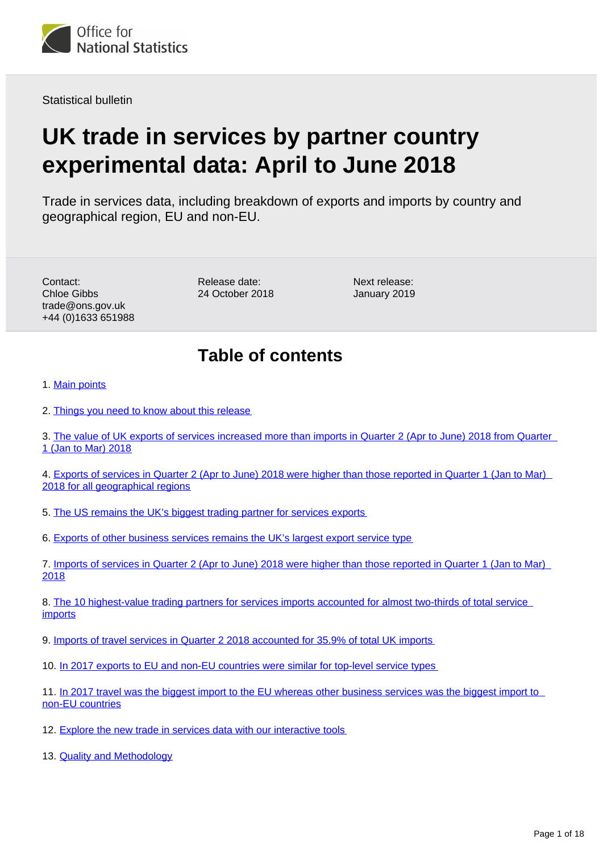<span id="page-0-0"></span>

Statistical bulletin

# **UK trade in services by partner country experimental data: April to June 2018**

Trade in services data, including breakdown of exports and imports by country and geographical region, EU and non-EU.

Contact: Chloe Gibbs trade@ons.gov.uk +44 (0)1633 651988 Release date: 24 October 2018 Next release: January 2019

## **Table of contents**

1. [Main points](#page-1-0)

- 2. [Things you need to know about this release](#page-1-1)
- 3. [The value of UK exports of services increased more than imports in Quarter 2 \(Apr to June\) 2018 from Quarter](#page-2-0)  [1 \(Jan to Mar\) 2018](#page-2-0)
- 4. [Exports of services in Quarter 2 \(Apr to June\) 2018 were higher than those reported in Quarter 1 \(Jan to Mar\)](#page-2-1)  [2018 for all geographical regions](#page-2-1)
- 5. [The US remains the UK's biggest trading partner for services exports](#page-4-0)
- 6. [Exports of other business services remains the UK's largest export service type](#page-5-0)
- 7. [Imports of services in Quarter 2 \(Apr to June\) 2018 were higher than those reported in Quarter 1 \(Jan to Mar\)](#page-8-0)  [2018](#page-8-0)

8. [The 10 highest-value trading partners for services imports accounted for almost two-thirds of total service](#page-10-0)  **[imports](#page-10-0)** 

9. [Imports of travel services in Quarter 2 2018 accounted for 35.9% of total UK imports](#page-11-0)

10. [In 2017 exports to EU and non-EU countries were similar for top-level service types](#page-12-0)

11. [In 2017 travel was the biggest import to the EU whereas other business services was the biggest import to](#page-14-0)  [non-EU countries](#page-14-0)

12. [Explore the new trade in services data with our interactive tools](#page-16-0)

13. [Quality and Methodology](#page-16-1)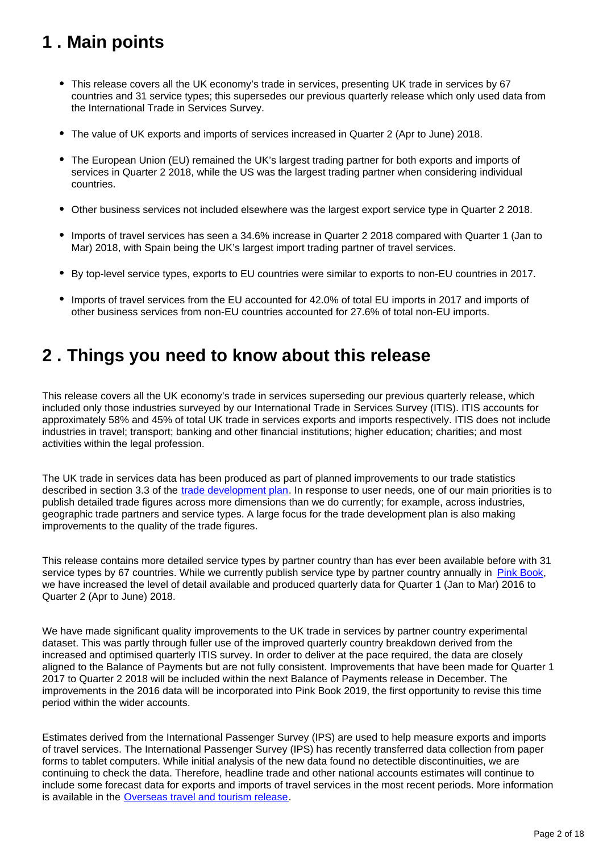# <span id="page-1-0"></span>**1 . Main points**

- This release covers all the UK economy's trade in services, presenting UK trade in services by 67 countries and 31 service types; this supersedes our previous quarterly release which only used data from the International Trade in Services Survey.
- The value of UK exports and imports of services increased in Quarter 2 (Apr to June) 2018.
- The European Union (EU) remained the UK's largest trading partner for both exports and imports of services in Quarter 2 2018, while the US was the largest trading partner when considering individual countries.
- Other business services not included elsewhere was the largest export service type in Quarter 2 2018.
- Imports of travel services has seen a 34.6% increase in Quarter 2 2018 compared with Quarter 1 (Jan to Mar) 2018, with Spain being the UK's largest import trading partner of travel services.
- By top-level service types, exports to EU countries were similar to exports to non-EU countries in 2017.
- Imports of travel services from the EU accounted for 42.0% of total EU imports in 2017 and imports of other business services from non-EU countries accounted for 27.6% of total non-EU imports.

### <span id="page-1-1"></span>**2 . Things you need to know about this release**

This release covers all the UK economy's trade in services superseding our previous quarterly release, which included only those industries surveyed by our International Trade in Services Survey (ITIS). ITIS accounts for approximately 58% and 45% of total UK trade in services exports and imports respectively. ITIS does not include industries in travel; transport; banking and other financial institutions; higher education; charities; and most activities within the legal profession.

The UK trade in services data has been produced as part of planned improvements to our trade statistics described in section 3.3 of the [trade development plan](https://www.ons.gov.uk/economy/nationalaccounts/balanceofpayments/articles/uktradedevelopmentplan/2017). In response to user needs, one of our main priorities is to publish detailed trade figures across more dimensions than we do currently; for example, across industries, geographic trade partners and service types. A large focus for the trade development plan is also making improvements to the quality of the trade figures.

This release contains more detailed service types by partner country than has ever been available before with 31 service types by 67 countries. While we currently publish service type by partner country annually in [Pink Book,](https://www.ons.gov.uk/economy/nationalaccounts/balanceofpayments/bulletins/unitedkingdombalanceofpaymentsthepinkbook/2018) we have increased the level of detail available and produced quarterly data for Quarter 1 (Jan to Mar) 2016 to Quarter 2 (Apr to June) 2018.

We have made significant quality improvements to the UK trade in services by partner country experimental dataset. This was partly through fuller use of the improved quarterly country breakdown derived from the increased and optimised quarterly ITIS survey. In order to deliver at the pace required, the data are closely aligned to the Balance of Payments but are not fully consistent. Improvements that have been made for Quarter 1 2017 to Quarter 2 2018 will be included within the next Balance of Payments release in December. The improvements in the 2016 data will be incorporated into Pink Book 2019, the first opportunity to revise this time period within the wider accounts.

Estimates derived from the International Passenger Survey (IPS) are used to help measure exports and imports of travel services. The International Passenger Survey (IPS) has recently transferred data collection from paper forms to tablet computers. While initial analysis of the new data found no detectible discontinuities, we are continuing to check the data. Therefore, headline trade and other national accounts estimates will continue to include some forecast data for exports and imports of travel services in the most recent periods. More information is available in the [Overseas travel and tourism release.](https://www.ons.gov.uk/peoplepopulationandcommunity/leisureandtourism/bulletins/overseastravelandtourism/previousReleases)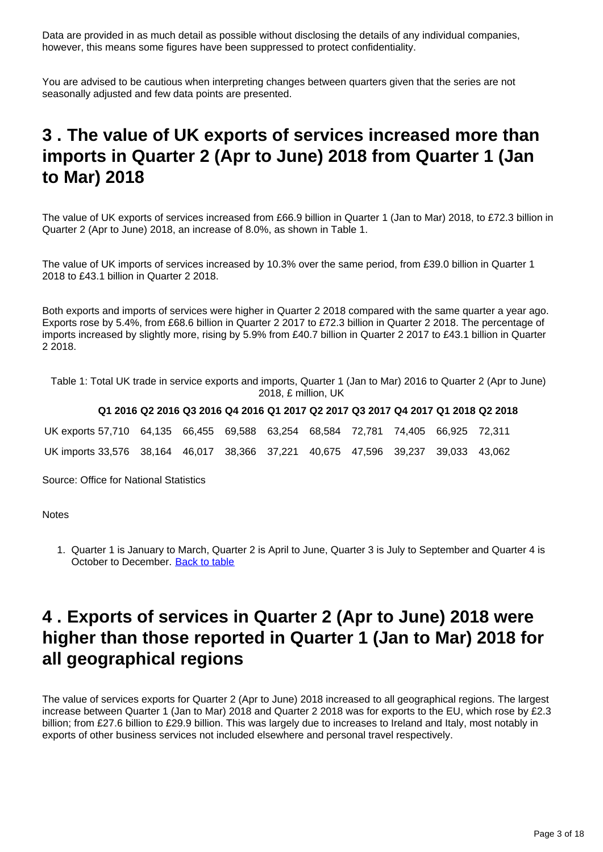Data are provided in as much detail as possible without disclosing the details of any individual companies, however, this means some figures have been suppressed to protect confidentiality.

You are advised to be cautious when interpreting changes between quarters given that the series are not seasonally adjusted and few data points are presented.

## <span id="page-2-0"></span>**3 . The value of UK exports of services increased more than imports in Quarter 2 (Apr to June) 2018 from Quarter 1 (Jan to Mar) 2018**

The value of UK exports of services increased from £66.9 billion in Quarter 1 (Jan to Mar) 2018, to £72.3 billion in Quarter 2 (Apr to June) 2018, an increase of 8.0%, as shown in Table 1.

The value of UK imports of services increased by 10.3% over the same period, from £39.0 billion in Quarter 1 2018 to £43.1 billion in Quarter 2 2018.

Both exports and imports of services were higher in Quarter 2 2018 compared with the same quarter a year ago. Exports rose by 5.4%, from £68.6 billion in Quarter 2 2017 to £72.3 billion in Quarter 2 2018. The percentage of imports increased by slightly more, rising by 5.9% from £40.7 billion in Quarter 2 2017 to £43.1 billion in Quarter 2 2018.

Table 1: Total UK trade in service exports and imports, Quarter 1 (Jan to Mar) 2016 to Quarter 2 (Apr to June) 2018, £ million, UK

#### **Q1 2016 Q2 2016 Q3 2016 Q4 2016 Q1 2017 Q2 2017 Q3 2017 Q4 2017 Q1 2018 Q2 2018**

| UK exports 57,710 64,135 66,455 69,588 63,254 68,584 72,781 74,405 66,925 72,311 |  |  |  |  |  |
|----------------------------------------------------------------------------------|--|--|--|--|--|
| UK imports 33,576 38,164 46,017 38,366 37,221 40,675 47,596 39,237 39,033 43,062 |  |  |  |  |  |

Source: Office for National Statistics

**Notes** 

1. Quarter 1 is January to March, Quarter 2 is April to June, Quarter 3 is July to September and Quarter 4 is October to December. [Back to table](#page-0-0)

### <span id="page-2-1"></span>**4 . Exports of services in Quarter 2 (Apr to June) 2018 were higher than those reported in Quarter 1 (Jan to Mar) 2018 for all geographical regions**

The value of services exports for Quarter 2 (Apr to June) 2018 increased to all geographical regions. The largest increase between Quarter 1 (Jan to Mar) 2018 and Quarter 2 2018 was for exports to the EU, which rose by £2.3 billion; from £27.6 billion to £29.9 billion. This was largely due to increases to Ireland and Italy, most notably in exports of other business services not included elsewhere and personal travel respectively.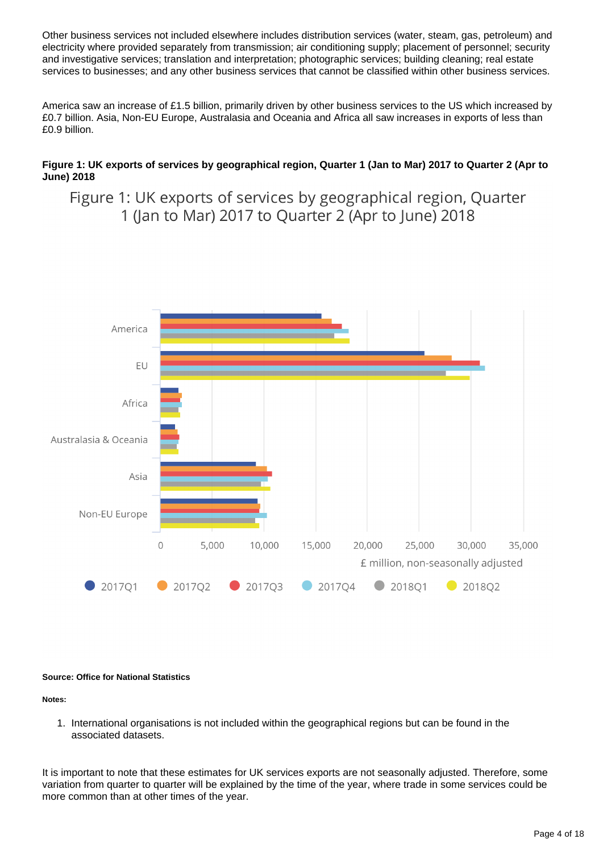Other business services not included elsewhere includes distribution services (water, steam, gas, petroleum) and electricity where provided separately from transmission; air conditioning supply; placement of personnel; security and investigative services; translation and interpretation; photographic services; building cleaning; real estate services to businesses; and any other business services that cannot be classified within other business services.

America saw an increase of £1.5 billion, primarily driven by other business services to the US which increased by £0.7 billion. Asia, Non-EU Europe, Australasia and Oceania and Africa all saw increases in exports of less than £0.9 billion.

#### **Figure 1: UK exports of services by geographical region, Quarter 1 (Jan to Mar) 2017 to Quarter 2 (Apr to June) 2018**

Figure 1: UK exports of services by geographical region, Quarter 1 (Jan to Mar) 2017 to Quarter 2 (Apr to June) 2018



#### **Source: Office for National Statistics**

**Notes:**

1. International organisations is not included within the geographical regions but can be found in the associated datasets.

It is important to note that these estimates for UK services exports are not seasonally adjusted. Therefore, some variation from quarter to quarter will be explained by the time of the year, where trade in some services could be more common than at other times of the year.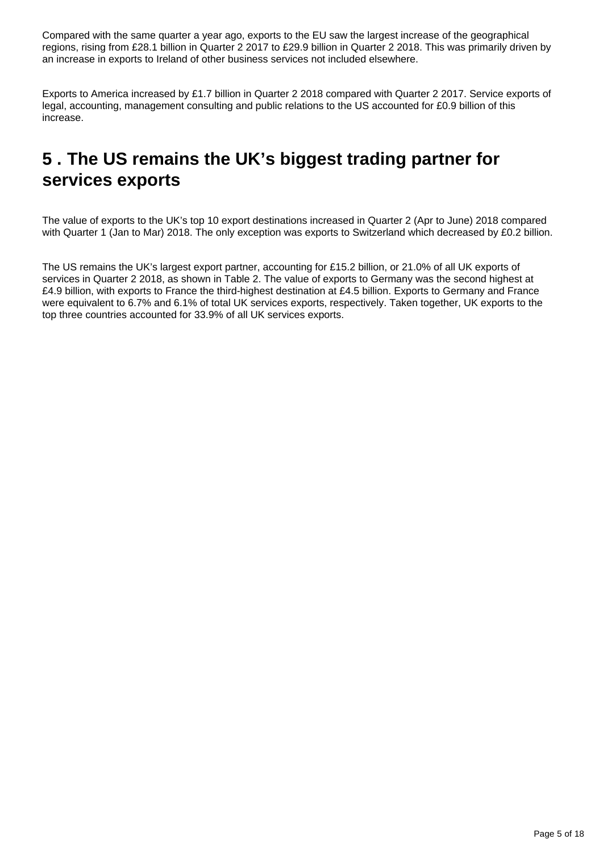Compared with the same quarter a year ago, exports to the EU saw the largest increase of the geographical regions, rising from £28.1 billion in Quarter 2 2017 to £29.9 billion in Quarter 2 2018. This was primarily driven by an increase in exports to Ireland of other business services not included elsewhere.

Exports to America increased by £1.7 billion in Quarter 2 2018 compared with Quarter 2 2017. Service exports of legal, accounting, management consulting and public relations to the US accounted for £0.9 billion of this increase.

# <span id="page-4-0"></span>**5 . The US remains the UK's biggest trading partner for services exports**

The value of exports to the UK's top 10 export destinations increased in Quarter 2 (Apr to June) 2018 compared with Quarter 1 (Jan to Mar) 2018. The only exception was exports to Switzerland which decreased by £0.2 billion.

The US remains the UK's largest export partner, accounting for £15.2 billion, or 21.0% of all UK exports of services in Quarter 2 2018, as shown in Table 2. The value of exports to Germany was the second highest at £4.9 billion, with exports to France the third-highest destination at £4.5 billion. Exports to Germany and France were equivalent to 6.7% and 6.1% of total UK services exports, respectively. Taken together, UK exports to the top three countries accounted for 33.9% of all UK services exports.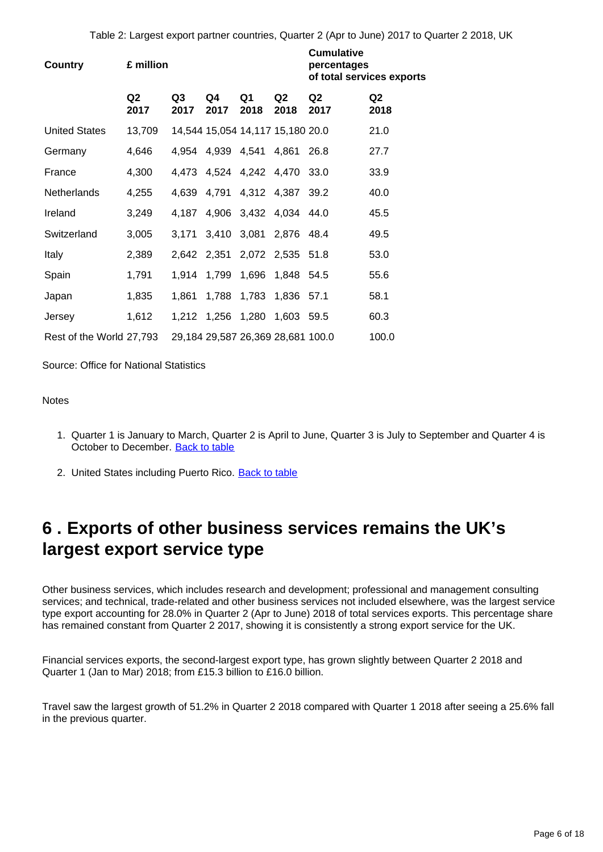Table 2: Largest export partner countries, Quarter 2 (Apr to June) 2017 to Quarter 2 2018, UK

| <b>Country</b>           | £ million              |            |            |                                   | <b>Cumulative</b><br>percentages<br>of total services exports |                        |                        |
|--------------------------|------------------------|------------|------------|-----------------------------------|---------------------------------------------------------------|------------------------|------------------------|
|                          | Q <sub>2</sub><br>2017 | Q3<br>2017 | Q4<br>2017 | Q1<br>2018                        | Q <sub>2</sub><br>2018                                        | Q <sub>2</sub><br>2017 | Q <sub>2</sub><br>2018 |
| <b>United States</b>     | 13,709                 |            |            | 14,544 15,054 14,117 15,180 20.0  |                                                               |                        | 21.0                   |
| Germany                  | 4,646                  | 4,954      |            | 4,939 4,541 4,861                 |                                                               | 26.8                   | 27.7                   |
| France                   | 4,300                  |            |            | 4,473 4,524 4,242 4,470           |                                                               | 33.0                   | 33.9                   |
| Netherlands              | 4,255                  | 4,639      |            | 4,791 4,312 4,387 39.2            |                                                               |                        | 40.0                   |
| Ireland                  | 3,249                  | 4.187      |            | 4,906 3,432 4,034 44.0            |                                                               |                        | 45.5                   |
| Switzerland              | 3,005                  | 3,171      |            | 3,410 3,081 2,876 48.4            |                                                               |                        | 49.5                   |
| Italy                    | 2,389                  |            |            | 2,642 2,351 2,072 2,535 51.8      |                                                               |                        | 53.0                   |
| Spain                    | 1,791                  |            |            | 1,914 1,799 1,696 1,848 54.5      |                                                               |                        | 55.6                   |
| Japan                    | 1,835                  | 1,861      |            | 1,788 1,783 1,836 57.1            |                                                               |                        | 58.1                   |
| Jersey                   | 1,612                  |            |            | 1,212 1,256 1,280 1,603 59.5      |                                                               |                        | 60.3                   |
| Rest of the World 27,793 |                        |            |            | 29,184 29,587 26,369 28,681 100.0 |                                                               |                        | 100.0                  |

Source: Office for National Statistics

#### **Notes**

- 1. Quarter 1 is January to March, Quarter 2 is April to June, Quarter 3 is July to September and Quarter 4 is October to December. [Back to table](#page-0-0)
- 2. United States including Puerto Rico. **[Back to table](#page-0-0)**

## <span id="page-5-0"></span>**6 . Exports of other business services remains the UK's largest export service type**

Other business services, which includes research and development; professional and management consulting services; and technical, trade-related and other business services not included elsewhere, was the largest service type export accounting for 28.0% in Quarter 2 (Apr to June) 2018 of total services exports. This percentage share has remained constant from Quarter 2 2017, showing it is consistently a strong export service for the UK.

Financial services exports, the second-largest export type, has grown slightly between Quarter 2 2018 and Quarter 1 (Jan to Mar) 2018; from £15.3 billion to £16.0 billion.

Travel saw the largest growth of 51.2% in Quarter 2 2018 compared with Quarter 1 2018 after seeing a 25.6% fall in the previous quarter.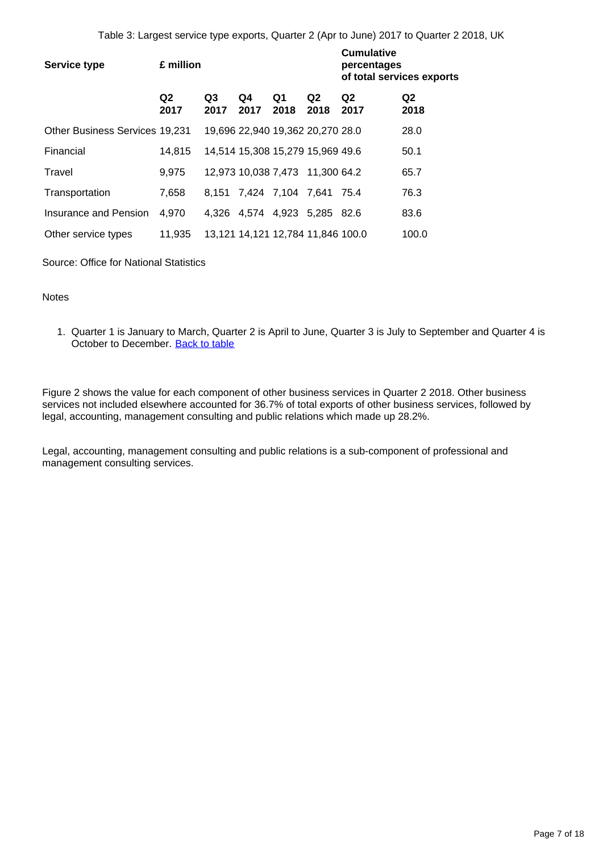| <b>Service type</b>                   | £ million              |                        |                                   | <b>Cumulative</b><br>percentages<br>of total services exports |            |                        |                        |
|---------------------------------------|------------------------|------------------------|-----------------------------------|---------------------------------------------------------------|------------|------------------------|------------------------|
|                                       | Q <sub>2</sub><br>2017 | Q <sub>3</sub><br>2017 | Q4<br>2017                        | Q1<br>2018                                                    | Q2<br>2018 | Q <sub>2</sub><br>2017 | Q <sub>2</sub><br>2018 |
| <b>Other Business Services 19,231</b> |                        |                        | 19,696 22,940 19,362 20,270 28.0  |                                                               |            |                        | 28.0                   |
| Financial                             | 14,815                 |                        | 14,514 15,308 15,279 15,969 49.6  |                                                               |            |                        | 50.1                   |
| Travel                                | 9,975                  |                        | 12,973 10,038 7,473 11,300 64.2   |                                                               |            |                        | 65.7                   |
| Transportation                        | 7,658                  | 8.151                  | 7,424 7,104 7,641 75.4            |                                                               |            |                        | 76.3                   |
| Insurance and Pension                 | 4.970                  | 4.326                  | 4,574 4,923 5,285 82.6            |                                                               |            |                        | 83.6                   |
| Other service types                   | 11,935                 |                        | 13,121 14,121 12,784 11,846 100.0 |                                                               |            |                        | 100.0                  |

Source: Office for National Statistics

#### Notes

1. Quarter 1 is January to March, Quarter 2 is April to June, Quarter 3 is July to September and Quarter 4 is October to December. [Back to table](#page-0-0)

Figure 2 shows the value for each component of other business services in Quarter 2 2018. Other business services not included elsewhere accounted for 36.7% of total exports of other business services, followed by legal, accounting, management consulting and public relations which made up 28.2%.

Legal, accounting, management consulting and public relations is a sub-component of professional and management consulting services.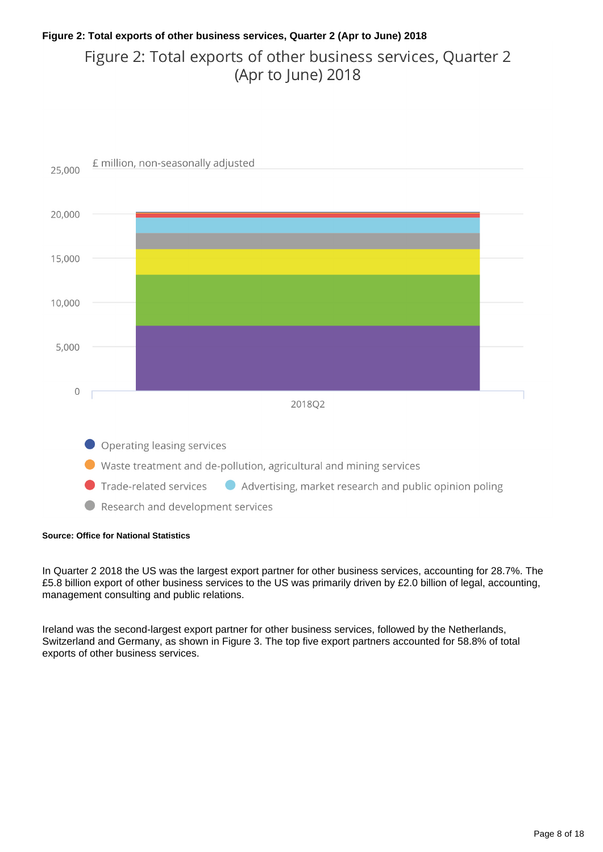### **Figure 2: Total exports of other business services, Quarter 2 (Apr to June) 2018** Figure 2: Total exports of other business services, Quarter 2 (Apr to June) 2018



#### **Source: Office for National Statistics**

In Quarter 2 2018 the US was the largest export partner for other business services, accounting for 28.7%. The £5.8 billion export of other business services to the US was primarily driven by £2.0 billion of legal, accounting, management consulting and public relations.

Ireland was the second-largest export partner for other business services, followed by the Netherlands, Switzerland and Germany, as shown in Figure 3. The top five export partners accounted for 58.8% of total exports of other business services.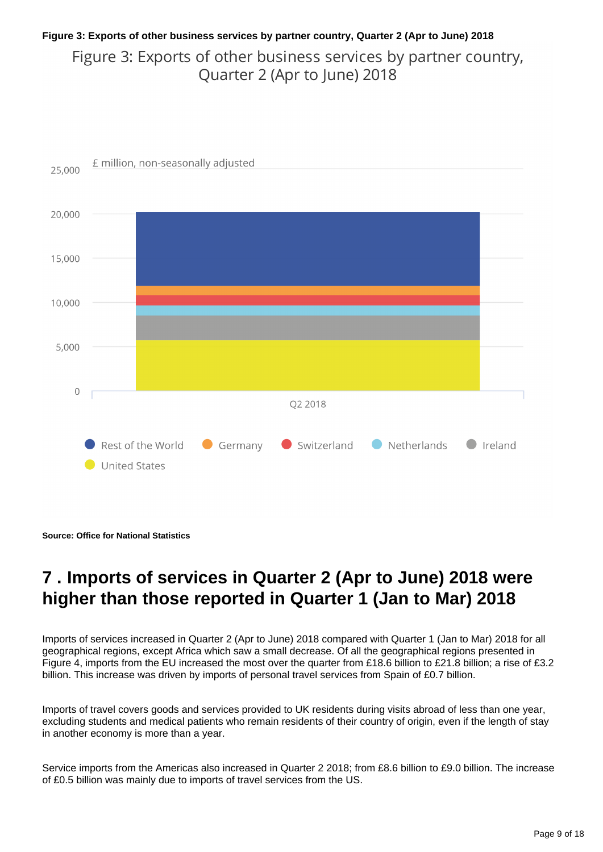### **Figure 3: Exports of other business services by partner country, Quarter 2 (Apr to June) 2018** Figure 3: Exports of other business services by partner country, Quarter 2 (Apr to June) 2018



**Source: Office for National Statistics**

## <span id="page-8-0"></span>**7 . Imports of services in Quarter 2 (Apr to June) 2018 were higher than those reported in Quarter 1 (Jan to Mar) 2018**

Imports of services increased in Quarter 2 (Apr to June) 2018 compared with Quarter 1 (Jan to Mar) 2018 for all geographical regions, except Africa which saw a small decrease. Of all the geographical regions presented in Figure 4, imports from the EU increased the most over the quarter from £18.6 billion to £21.8 billion; a rise of £3.2 billion. This increase was driven by imports of personal travel services from Spain of £0.7 billion.

Imports of travel covers goods and services provided to UK residents during visits abroad of less than one year, excluding students and medical patients who remain residents of their country of origin, even if the length of stay in another economy is more than a year.

Service imports from the Americas also increased in Quarter 2 2018; from £8.6 billion to £9.0 billion. The increase of £0.5 billion was mainly due to imports of travel services from the US.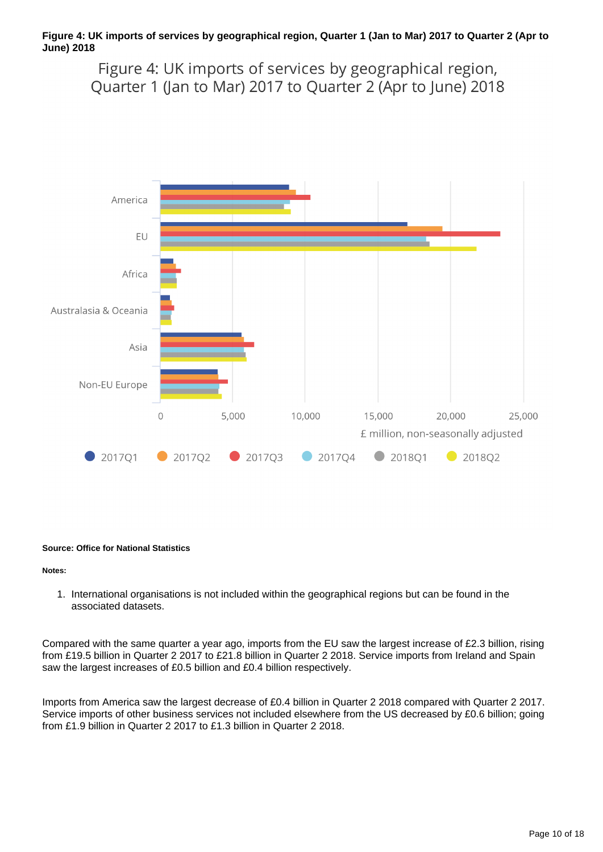#### **Figure 4: UK imports of services by geographical region, Quarter 1 (Jan to Mar) 2017 to Quarter 2 (Apr to June) 2018**

Figure 4: UK imports of services by geographical region, Quarter 1 (Jan to Mar) 2017 to Quarter 2 (Apr to June) 2018



#### **Source: Office for National Statistics**

#### **Notes:**

1. International organisations is not included within the geographical regions but can be found in the associated datasets.

Compared with the same quarter a year ago, imports from the EU saw the largest increase of £2.3 billion, rising from £19.5 billion in Quarter 2 2017 to £21.8 billion in Quarter 2 2018. Service imports from Ireland and Spain saw the largest increases of £0.5 billion and £0.4 billion respectively.

Imports from America saw the largest decrease of £0.4 billion in Quarter 2 2018 compared with Quarter 2 2017. Service imports of other business services not included elsewhere from the US decreased by £0.6 billion; going from £1.9 billion in Quarter 2 2017 to £1.3 billion in Quarter 2 2018.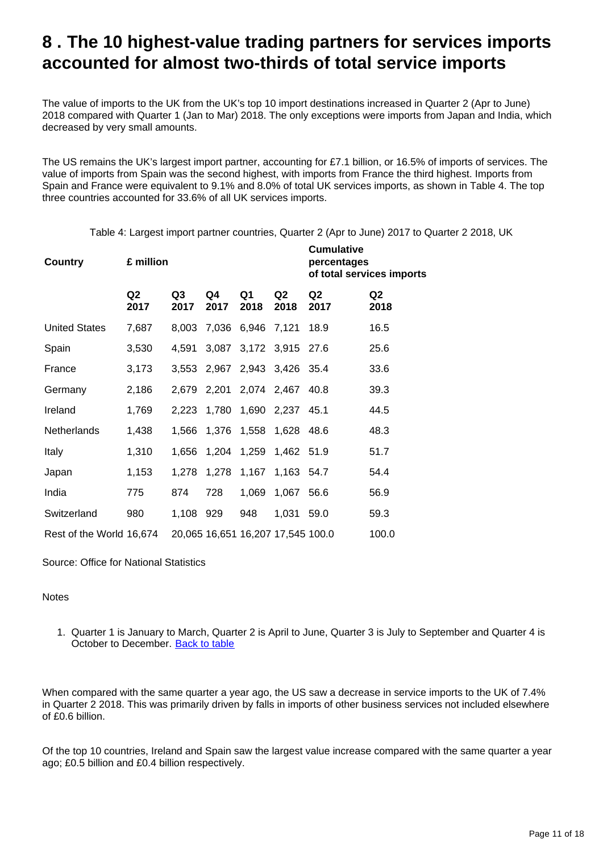### <span id="page-10-0"></span>**8 . The 10 highest-value trading partners for services imports accounted for almost two-thirds of total service imports**

The value of imports to the UK from the UK's top 10 import destinations increased in Quarter 2 (Apr to June) 2018 compared with Quarter 1 (Jan to Mar) 2018. The only exceptions were imports from Japan and India, which decreased by very small amounts.

The US remains the UK's largest import partner, accounting for £7.1 billion, or 16.5% of imports of services. The value of imports from Spain was the second highest, with imports from France the third highest. Imports from Spain and France were equivalent to 9.1% and 8.0% of total UK services imports, as shown in Table 4. The top three countries accounted for 33.6% of all UK services imports.

Table 4: Largest import partner countries, Quarter 2 (Apr to June) 2017 to Quarter 2 2018, UK

| <b>Country</b>           | £ million  |            |            | <b>Cumulative</b><br>percentages<br>of total services imports |                  |            |            |
|--------------------------|------------|------------|------------|---------------------------------------------------------------|------------------|------------|------------|
|                          | Q2<br>2017 | Q3<br>2017 | Q4<br>2017 | Q1<br>2018                                                    | Q2<br>2018       | Q2<br>2017 | Q2<br>2018 |
| <b>United States</b>     | 7,687      | 8,003      |            | 7,036 6,946 7,121                                             |                  | 18.9       | 16.5       |
| Spain                    | 3,530      | 4,591      |            | 3,087 3,172 3,915 27.6                                        |                  |            | 25.6       |
| France                   | 3,173      |            |            | 3,553 2,967 2,943 3,426 35.4                                  |                  |            | 33.6       |
| Germany                  | 2,186      |            |            | 2,679 2,201 2,074 2,467 40.8                                  |                  |            | 39.3       |
| Ireland                  | 1,769      |            |            | 2,223 1,780 1,690 2,237 45.1                                  |                  |            | 44.5       |
| <b>Netherlands</b>       | 1,438      | 1,566      |            | 1,376 1,558 1,628 48.6                                        |                  |            | 48.3       |
| <b>Italy</b>             | 1,310      | 1,656      |            | 1,204 1,259 1,462 51.9                                        |                  |            | 51.7       |
| Japan                    | 1,153      | 1,278      |            | 1,278 1,167 1,163 54.7                                        |                  |            | 54.4       |
| India                    | 775        | 874        | 728        |                                                               | 1,069 1,067 56.6 |            | 56.9       |
| Switzerland              | 980        | 1,108 929  |            | 948                                                           | 1,031            | 59.0       | 59.3       |
| Rest of the World 16,674 |            |            |            | 20,065 16,651 16,207 17,545 100.0                             |                  |            | 100.0      |

Source: Office for National Statistics

#### **Notes**

1. Quarter 1 is January to March, Quarter 2 is April to June, Quarter 3 is July to September and Quarter 4 is October to December. [Back to table](#page-0-0)

When compared with the same quarter a year ago, the US saw a decrease in service imports to the UK of 7.4% in Quarter 2 2018. This was primarily driven by falls in imports of other business services not included elsewhere of £0.6 billion.

Of the top 10 countries, Ireland and Spain saw the largest value increase compared with the same quarter a year ago; £0.5 billion and £0.4 billion respectively.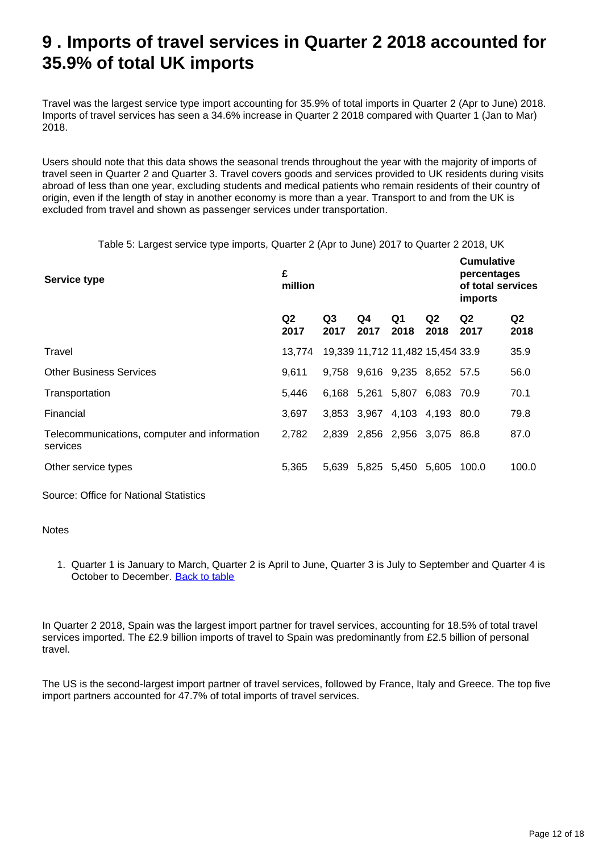## <span id="page-11-0"></span>**9 . Imports of travel services in Quarter 2 2018 accounted for 35.9% of total UK imports**

Travel was the largest service type import accounting for 35.9% of total imports in Quarter 2 (Apr to June) 2018. Imports of travel services has seen a 34.6% increase in Quarter 2 2018 compared with Quarter 1 (Jan to Mar) 2018.

Users should note that this data shows the seasonal trends throughout the year with the majority of imports of travel seen in Quarter 2 and Quarter 3. Travel covers goods and services provided to UK residents during visits abroad of less than one year, excluding students and medical patients who remain residents of their country of origin, even if the length of stay in another economy is more than a year. Transport to and from the UK is excluded from travel and shown as passenger services under transportation.

Table 5: Largest service type imports, Quarter 2 (Apr to June) 2017 to Quarter 2 2018, UK

| Service type                                             | £<br>million           |            | <b>Cumulative</b><br>percentages<br>of total services<br>imports |            |                        |                        |                        |
|----------------------------------------------------------|------------------------|------------|------------------------------------------------------------------|------------|------------------------|------------------------|------------------------|
|                                                          | Q <sub>2</sub><br>2017 | Q3<br>2017 | Q4<br>2017                                                       | Q1<br>2018 | Q <sub>2</sub><br>2018 | Q <sub>2</sub><br>2017 | Q <sub>2</sub><br>2018 |
| Travel                                                   | 13.774                 |            | 19,339 11,712 11,482 15,454 33.9                                 |            |                        |                        | 35.9                   |
| <b>Other Business Services</b>                           | 9.611                  |            | 9,758 9,616 9,235 8,652 57.5                                     |            |                        |                        | 56.0                   |
| Transportation                                           | 5.446                  |            | 6,168 5,261 5,807                                                |            | 6,083 70.9             |                        | 70.1                   |
| Financial                                                | 3.697                  |            | 3,853 3,967 4,103 4,193 80.0                                     |            |                        |                        | 79.8                   |
| Telecommunications, computer and information<br>services | 2.782                  |            | 2,839 2,856 2,956 3,075 86.8                                     |            |                        |                        | 87.0                   |
| Other service types                                      | 5.365                  |            | 5,639 5,825 5,450 5,605                                          |            |                        | 100.0                  | 100.0                  |

Source: Office for National Statistics

#### **Notes**

1. Quarter 1 is January to March, Quarter 2 is April to June, Quarter 3 is July to September and Quarter 4 is October to December. [Back to table](#page-0-0)

In Quarter 2 2018, Spain was the largest import partner for travel services, accounting for 18.5% of total travel services imported. The £2.9 billion imports of travel to Spain was predominantly from £2.5 billion of personal travel.

The US is the second-largest import partner of travel services, followed by France, Italy and Greece. The top five import partners accounted for 47.7% of total imports of travel services.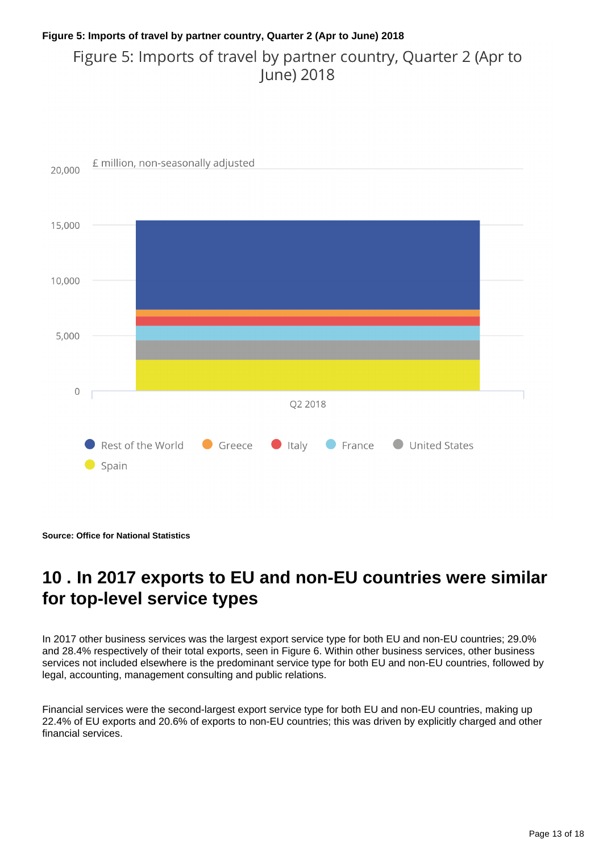### **Figure 5: Imports of travel by partner country, Quarter 2 (Apr to June) 2018** Figure 5: Imports of travel by partner country, Quarter 2 (Apr to June) 2018



**Source: Office for National Statistics**

# <span id="page-12-0"></span>**10 . In 2017 exports to EU and non-EU countries were similar for top-level service types**

In 2017 other business services was the largest export service type for both EU and non-EU countries; 29.0% and 28.4% respectively of their total exports, seen in Figure 6. Within other business services, other business services not included elsewhere is the predominant service type for both EU and non-EU countries, followed by legal, accounting, management consulting and public relations.

Financial services were the second-largest export service type for both EU and non-EU countries, making up 22.4% of EU exports and 20.6% of exports to non-EU countries; this was driven by explicitly charged and other financial services.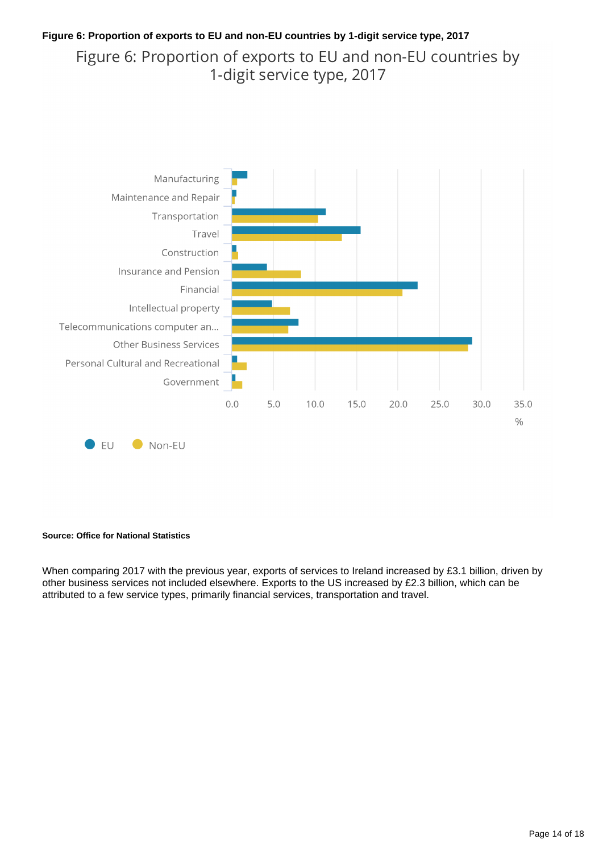#### **Figure 6: Proportion of exports to EU and non-EU countries by 1-digit service type, 2017**

Figure 6: Proportion of exports to EU and non-EU countries by 1-digit service type, 2017



#### **Source: Office for National Statistics**

When comparing 2017 with the previous year, exports of services to Ireland increased by £3.1 billion, driven by other business services not included elsewhere. Exports to the US increased by £2.3 billion, which can be attributed to a few service types, primarily financial services, transportation and travel.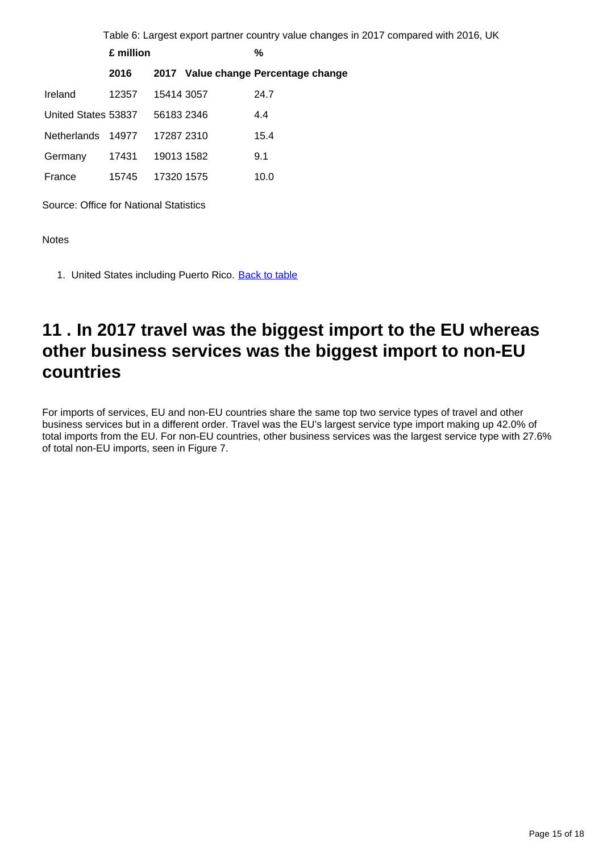|                     |           |            |  | Table 6: Largest export partner country value changes in 2017 compared with 2016, UK |  |  |  |  |
|---------------------|-----------|------------|--|--------------------------------------------------------------------------------------|--|--|--|--|
|                     | £ million |            |  | %                                                                                    |  |  |  |  |
|                     | 2016      |            |  | 2017 Value change Percentage change                                                  |  |  |  |  |
| Ireland             | 12357     | 15414 3057 |  | 24.7                                                                                 |  |  |  |  |
| United States 53837 |           | 56183 2346 |  | 4.4                                                                                  |  |  |  |  |
| <b>Netherlands</b>  | 14977     | 17287 2310 |  | 15.4                                                                                 |  |  |  |  |
| Germany             | 17431     | 19013 1582 |  | 9.1                                                                                  |  |  |  |  |
| France              | 15745     | 17320 1575 |  | 10.0                                                                                 |  |  |  |  |

Source: Office for National Statistics

**Notes** 

1. United States including Puerto Rico. [Back to table](#page-0-0)

### <span id="page-14-0"></span>**11 . In 2017 travel was the biggest import to the EU whereas other business services was the biggest import to non-EU countries**

For imports of services, EU and non-EU countries share the same top two service types of travel and other business services but in a different order. Travel was the EU's largest service type import making up 42.0% of total imports from the EU. For non-EU countries, other business services was the largest service type with 27.6% of total non-EU imports, seen in Figure 7.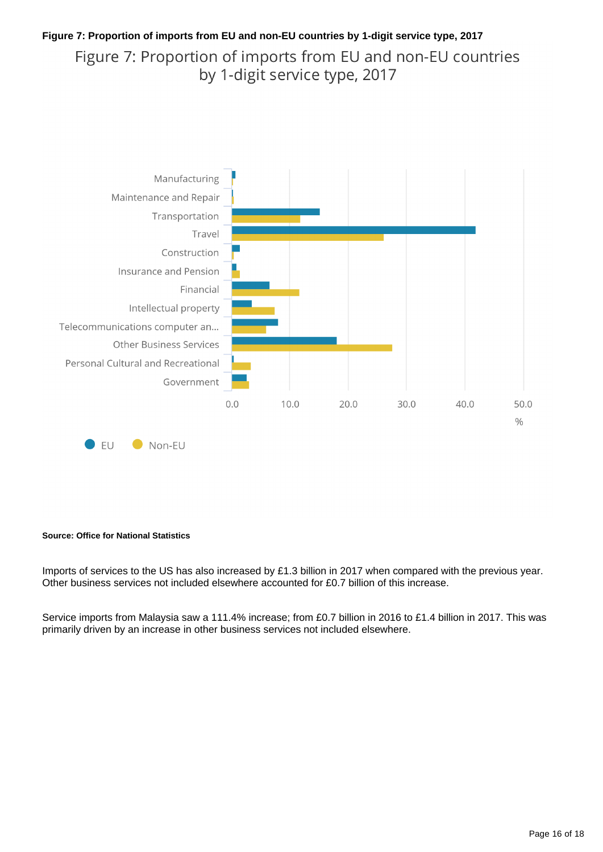### **Figure 7: Proportion of imports from EU and non-EU countries by 1-digit service type, 2017** Figure 7: Proportion of imports from EU and non-EU countries by 1-digit service type, 2017



#### **Source: Office for National Statistics**

Imports of services to the US has also increased by £1.3 billion in 2017 when compared with the previous year. Other business services not included elsewhere accounted for £0.7 billion of this increase.

Service imports from Malaysia saw a 111.4% increase; from £0.7 billion in 2016 to £1.4 billion in 2017. This was primarily driven by an increase in other business services not included elsewhere.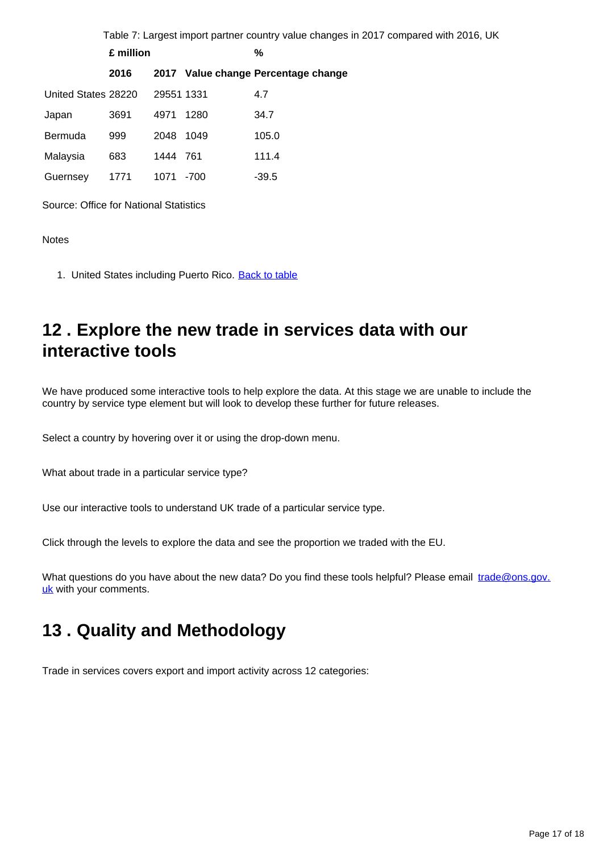|                     |           |            |        | Table 7: Largest import partner country value changes in 2017 compared with 2016, UK |
|---------------------|-----------|------------|--------|--------------------------------------------------------------------------------------|
|                     | £ million |            |        | $\%$                                                                                 |
|                     | 2016      |            |        | 2017 Value change Percentage change                                                  |
| United States 28220 |           | 29551 1331 |        | 4.7                                                                                  |
| Japan               | 3691      | 4971       | 1280   | 34.7                                                                                 |
| Bermuda             | 999       | 2048 1049  |        | 105.0                                                                                |
| Malaysia            | 683       | 1444 761   |        | 111.4                                                                                |
| Guernsey            | 1771      | 1071       | $-700$ | $-39.5$                                                                              |

Source: Office for National Statistics

Notes

1. United States including Puerto Rico. [Back to table](#page-0-0)

## <span id="page-16-0"></span>**12 . Explore the new trade in services data with our interactive tools**

We have produced some interactive tools to help explore the data. At this stage we are unable to include the country by service type element but will look to develop these further for future releases.

Select a country by hovering over it or using the drop-down menu.

What about trade in a particular service type?

Use our interactive tools to understand UK trade of a particular service type.

Click through the levels to explore the data and see the proportion we traded with the EU.

What questions do you have about the new data? Do you find these tools helpful? Please email trade@ons.gov. uk with your comments.

## <span id="page-16-1"></span>**13 . Quality and Methodology**

Trade in services covers export and import activity across 12 categories: